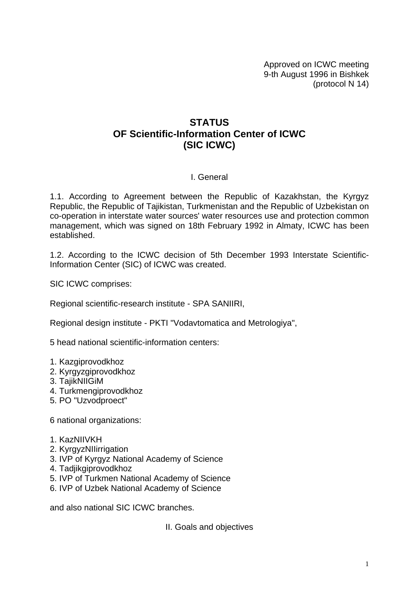Approved on ICWC meeting 9-th August 1996 in Bishkek (protocol N 14)

# **STATUS OF Scientific-Information Center of ICWC (SIC ICWC)**

### I. General

1.1. According to Agreement between the Republic of Kazakhstan, the Kyrgyz Republic, the Republic of Tajikistan, Turkmenistan and the Republic of Uzbekistan on co-operation in interstate water sources' water resources use and protection common management, which was signed on 18th February 1992 in Almaty, ICWC has been established.

1.2. According to the ICWC decision of 5th December 1993 Interstate Scientific-Information Center (SIC) of ICWC was created.

SIC ICWC comprises:

Regional scientific-research institute - SPA SANIIRI,

Regional design institute - PKTI "Vodavtomatica and Metrologiya",

5 head national scientific-information centers:

- 1. Kazgiprovodkhoz
- 2. Kyrgyzgiprovodkhoz
- 3. TajikNIIGiM
- 4. Turkmengiprovodkhoz
- 5. PO "Uzvodproect"

6 national organizations:

- 1. KazNIIVKH
- 2. KyrgyzNIIirrigation
- 3. IVP of Kyrgyz National Academy of Science
- 4. Tadjikgiprovodkhoz
- 5. IVP of Turkmen National Academy of Science
- 6. IVP of Uzbek National Academy of Science

and also national SIC ICWC branches.

II. Goals and objectives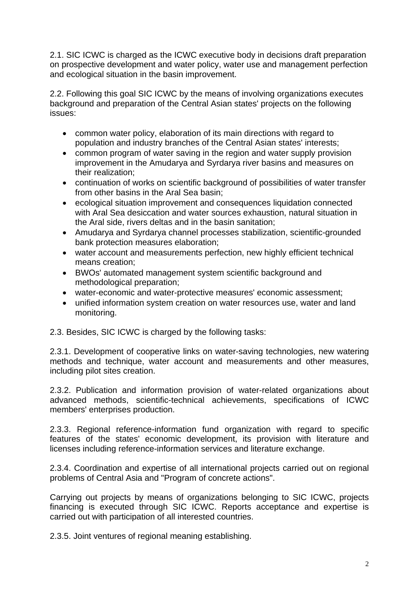2.1. SIC ICWC is charged as the ICWC executive body in decisions draft preparation on prospective development and water policy, water use and management perfection and ecological situation in the basin improvement.

2.2. Following this goal SIC ICWC by the means of involving organizations executes background and preparation of the Central Asian states' projects on the following issues:

- common water policy, elaboration of its main directions with regard to population and industry branches of the Central Asian states' interests;
- common program of water saving in the region and water supply provision improvement in the Amudarya and Syrdarya river basins and measures on their realization;
- continuation of works on scientific background of possibilities of water transfer from other basins in the Aral Sea basin;
- ecological situation improvement and consequences liquidation connected with Aral Sea desiccation and water sources exhaustion, natural situation in the Aral side, rivers deltas and in the basin sanitation;
- Amudarya and Syrdarya channel processes stabilization, scientific-grounded bank protection measures elaboration;
- water account and measurements perfection, new highly efficient technical means creation;
- BWOs' automated management system scientific background and methodological preparation;
- water-economic and water-protective measures' economic assessment;
- unified information system creation on water resources use, water and land monitoring.
- 2.3. Besides, SIC ICWC is charged by the following tasks:

2.3.1. Development of cooperative links on water-saving technologies, new watering methods and technique, water account and measurements and other measures, including pilot sites creation.

2.3.2. Publication and information provision of water-related organizations about advanced methods, scientific-technical achievements, specifications of ICWC members' enterprises production.

2.3.3. Regional reference-information fund organization with regard to specific features of the states' economic development, its provision with literature and licenses including reference-information services and literature exchange.

2.3.4. Coordination and expertise of all international projects carried out on regional problems of Central Asia and "Program of concrete actions".

Carrying out projects by means of organizations belonging to SIC ICWC, projects financing is executed through SIC ICWC. Reports acceptance and expertise is carried out with participation of all interested countries.

2.3.5. Joint ventures of regional meaning establishing.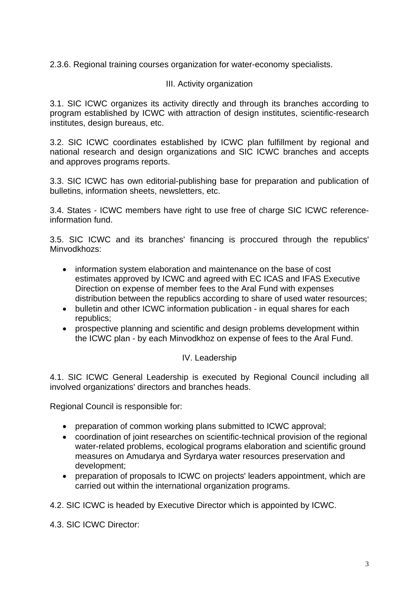2.3.6. Regional training courses organization for water-economy specialists.

# III. Activity organization

3.1. SIC ICWC organizes its activity directly and through its branches according to program established by ICWC with attraction of design institutes, scientific-research institutes, design bureaus, etc.

3.2. SIC ICWC coordinates established by ICWC plan fulfillment by regional and national research and design organizations and SIC ICWC branches and accepts and approves programs reports.

3.3. SIC ICWC has own editorial-publishing base for preparation and publication of bulletins, information sheets, newsletters, etc.

3.4. States - ICWC members have right to use free of charge SIC ICWC referenceinformation fund.

3.5. SIC ICWC and its branches' financing is proccured through the republics' Minvodkhozs:

- information system elaboration and maintenance on the base of cost estimates approved by ICWC and agreed with EC ICAS and IFAS Executive Direction on expense of member fees to the Aral Fund with expenses distribution between the republics according to share of used water resources;
- bulletin and other ICWC information publication in equal shares for each republics;
- prospective planning and scientific and design problems development within the ICWC plan - by each Minvodkhoz on expense of fees to the Aral Fund.

### IV. Leadership

4.1. SIC ICWC General Leadership is executed by Regional Council including all involved organizations' directors and branches heads.

Regional Council is responsible for:

- preparation of common working plans submitted to ICWC approval;
- coordination of joint researches on scientific-technical provision of the regional water-related problems, ecological programs elaboration and scientific ground measures on Amudarya and Syrdarya water resources preservation and development;
- preparation of proposals to ICWC on projects' leaders appointment, which are carried out within the international organization programs.

4.2. SIC ICWC is headed by Executive Director which is appointed by ICWC.

4.3. SIC ICWC Director: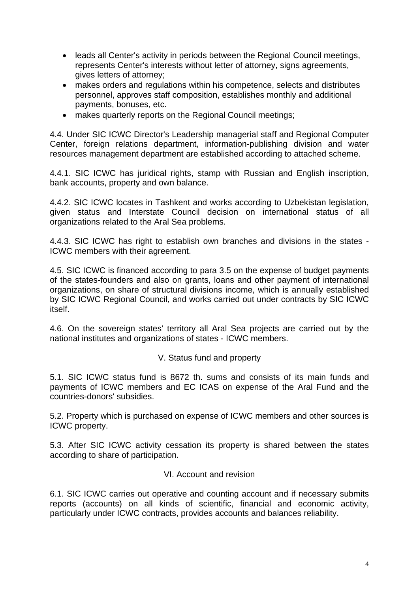- leads all Center's activity in periods between the Regional Council meetings, represents Center's interests without letter of attorney, signs agreements, gives letters of attorney;
- makes orders and regulations within his competence, selects and distributes personnel, approves staff composition, establishes monthly and additional payments, bonuses, etc.
- makes quarterly reports on the Regional Council meetings;

4.4. Under SIC ICWC Director's Leadership managerial staff and Regional Computer Center, foreign relations department, information-publishing division and water resources management department are established according to attached scheme.

4.4.1. SIC ICWC has juridical rights, stamp with Russian and English inscription, bank accounts, property and own balance.

4.4.2. SIC ICWC locates in Tashkent and works according to Uzbekistan legislation, given status and Interstate Council decision on international status of all organizations related to the Aral Sea problems.

4.4.3. SIC ICWC has right to establish own branches and divisions in the states - ICWC members with their agreement.

4.5. SIC ICWC is financed according to para 3.5 on the expense of budget payments of the states-founders and also on grants, loans and other payment of international organizations, on share of structural divisions income, which is annually established by SIC ICWC Regional Council, and works carried out under contracts by SIC ICWC itself.

4.6. On the sovereign states' territory all Aral Sea projects are carried out by the national institutes and organizations of states - ICWC members.

### V. Status fund and property

5.1. SIC ICWC status fund is 8672 th. sums and consists of its main funds and payments of ICWC members and EC ICAS on expense of the Aral Fund and the countries-donors' subsidies.

5.2. Property which is purchased on expense of ICWC members and other sources is ICWC property.

5.3. After SIC ICWC activity cessation its property is shared between the states according to share of participation.

### VI. Account and revision

6.1. SIC ICWC carries out operative and counting account and if necessary submits reports (accounts) on all kinds of scientific, financial and economic activity, particularly under ICWC contracts, provides accounts and balances reliability.